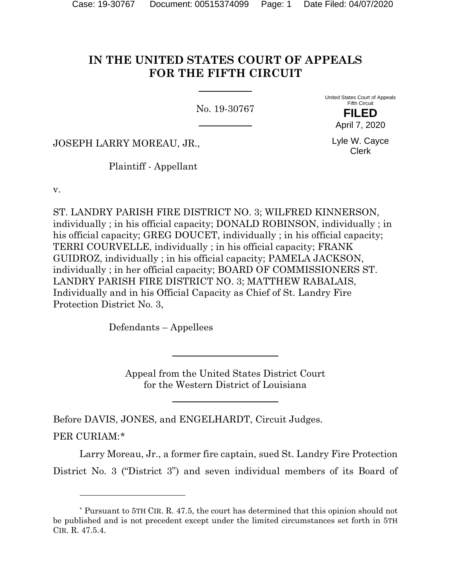# **IN THE UNITED STATES COURT OF APPEALS FOR THE FIFTH CIRCUIT**

No. 19-30767

United States Court of Appeals Fifth Circuit **FILED**

JOSEPH LARRY MOREAU, JR.,

Plaintiff - Appellant

v.

ST. LANDRY PARISH FIRE DISTRICT NO. 3; WILFRED KINNERSON, individually ; in his official capacity; DONALD ROBINSON, individually ; in his official capacity; GREG DOUCET, individually ; in his official capacity; TERRI COURVELLE, individually ; in his official capacity; FRANK GUIDROZ, individually ; in his official capacity; PAMELA JACKSON, individually ; in her official capacity; BOARD OF COMMISSIONERS ST. LANDRY PARISH FIRE DISTRICT NO. 3; MATTHEW RABALAIS, Individually and in his Official Capacity as Chief of St. Landry Fire Protection District No. 3,

Defendants – Appellees

Appeal from the United States District Court for the Western District of Louisiana

Before DAVIS, JONES, and ENGELHARDT, Circuit Judges. PER CURIAM:[\\*](#page-0-0)

Larry Moreau, Jr., a former fire captain, sued St. Landry Fire Protection District No. 3 ("District 3") and seven individual members of its Board of

April 7, 2020 Lyle W. Cayce

Clerk

<span id="page-0-0"></span><sup>\*</sup> Pursuant to 5TH CIR. R. 47.5, the court has determined that this opinion should not be published and is not precedent except under the limited circumstances set forth in 5TH CIR. R. 47.5.4.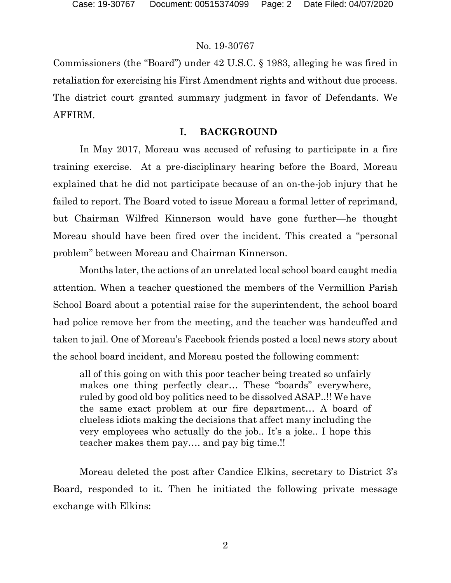Commissioners (the "Board") under 42 U.S.C. § 1983, alleging he was fired in retaliation for exercising his First Amendment rights and without due process. The district court granted summary judgment in favor of Defendants. We AFFIRM.

## **I. BACKGROUND**

In May 2017, Moreau was accused of refusing to participate in a fire training exercise. At a pre-disciplinary hearing before the Board, Moreau explained that he did not participate because of an on-the-job injury that he failed to report. The Board voted to issue Moreau a formal letter of reprimand, but Chairman Wilfred Kinnerson would have gone further—he thought Moreau should have been fired over the incident. This created a "personal problem" between Moreau and Chairman Kinnerson.

Months later, the actions of an unrelated local school board caught media attention. When a teacher questioned the members of the Vermillion Parish School Board about a potential raise for the superintendent, the school board had police remove her from the meeting, and the teacher was handcuffed and taken to jail. One of Moreau's Facebook friends posted a local news story about the school board incident, and Moreau posted the following comment:

all of this going on with this poor teacher being treated so unfairly makes one thing perfectly clear… These "boards" everywhere, ruled by good old boy politics need to be dissolved ASAP..!! We have the same exact problem at our fire department… A board of clueless idiots making the decisions that affect many including the very employees who actually do the job.. It's a joke.. I hope this teacher makes them pay…. and pay big time.!!

Moreau deleted the post after Candice Elkins, secretary to District 3's Board, responded to it. Then he initiated the following private message exchange with Elkins: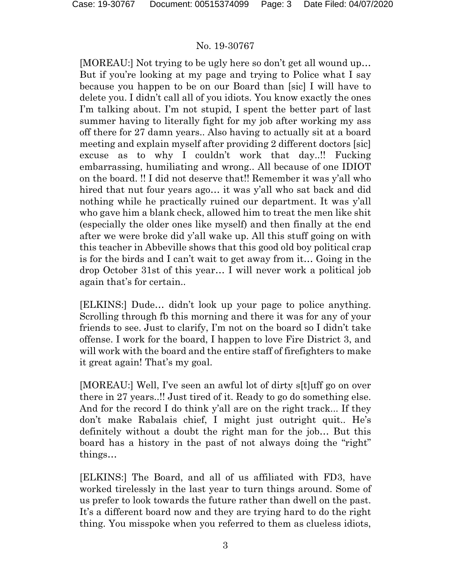[MOREAU:] Not trying to be ugly here so don't get all wound up… But if you're looking at my page and trying to Police what I say because you happen to be on our Board than [sic] I will have to delete you. I didn't call all of you idiots. You know exactly the ones I'm talking about. I'm not stupid, I spent the better part of last summer having to literally fight for my job after working my ass off there for 27 damn years.. Also having to actually sit at a board meeting and explain myself after providing 2 different doctors [sic] excuse as to why I couldn't work that day..!! Fucking embarrassing, humiliating and wrong.. All because of one IDIOT on the board. !! I did not deserve that!! Remember it was y'all who hired that nut four years ago... it was y'all who sat back and did nothing while he practically ruined our department. It was y'all who gave him a blank check, allowed him to treat the men like shit (especially the older ones like myself) and then finally at the end after we were broke did y'all wake up. All this stuff going on with this teacher in Abbeville shows that this good old boy political crap is for the birds and I can't wait to get away from it… Going in the drop October 31st of this year… I will never work a political job again that's for certain..

[ELKINS:] Dude… didn't look up your page to police anything. Scrolling through fb this morning and there it was for any of your friends to see. Just to clarify, I'm not on the board so I didn't take offense. I work for the board, I happen to love Fire District 3, and will work with the board and the entire staff of firefighters to make it great again! That's my goal.

[MOREAU:] Well, I've seen an awful lot of dirty s[t]uff go on over there in 27 years..!! Just tired of it. Ready to go do something else. And for the record I do think y'all are on the right track... If they don't make Rabalais chief, I might just outright quit.. He's definitely without a doubt the right man for the job… But this board has a history in the past of not always doing the "right" things…

[ELKINS:] The Board, and all of us affiliated with FD3, have worked tirelessly in the last year to turn things around. Some of us prefer to look towards the future rather than dwell on the past. It's a different board now and they are trying hard to do the right thing. You misspoke when you referred to them as clueless idiots,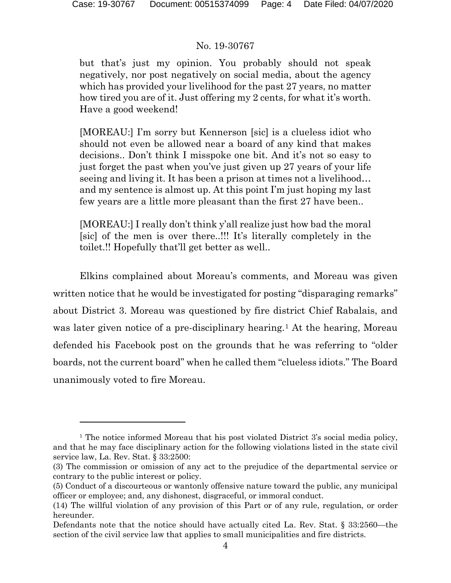but that's just my opinion. You probably should not speak negatively, nor post negatively on social media, about the agency which has provided your livelihood for the past 27 years, no matter how tired you are of it. Just offering my 2 cents, for what it's worth. Have a good weekend!

[MOREAU:] I'm sorry but Kennerson [sic] is a clueless idiot who should not even be allowed near a board of any kind that makes decisions.. Don't think I misspoke one bit. And it's not so easy to just forget the past when you've just given up 27 years of your life seeing and living it. It has been a prison at times not a livelihood… and my sentence is almost up. At this point I'm just hoping my last few years are a little more pleasant than the first 27 have been..

[MOREAU:] I really don't think y'all realize just how bad the moral [sic] of the men is over there..!!! It's literally completely in the toilet.!! Hopefully that'll get better as well..

Elkins complained about Moreau's comments, and Moreau was given written notice that he would be investigated for posting "disparaging remarks" about District 3. Moreau was questioned by fire district Chief Rabalais, and was later given notice of a pre-disciplinary hearing.<sup>[1](#page-3-0)</sup> At the hearing, Moreau defended his Facebook post on the grounds that he was referring to "older boards, not the current board" when he called them "clueless idiots." The Board unanimously voted to fire Moreau.

<span id="page-3-0"></span><sup>&</sup>lt;sup>1</sup> The notice informed Moreau that his post violated District 3's social media policy, and that he may face disciplinary action for the following violations listed in the state civil service law, La. Rev. Stat. § 33:2500:

<sup>(3)</sup> The commission or omission of any act to the prejudice of the departmental service or contrary to the public interest or policy.

<sup>(5)</sup> Conduct of a discourteous or wantonly offensive nature toward the public, any municipal officer or employee; and, any dishonest, disgraceful, or immoral conduct.

<sup>(14)</sup> The willful violation of any provision of this Part or of any rule, regulation, or order hereunder.

Defendants note that the notice should have actually cited La. Rev. Stat. § 33:2560—the section of the civil service law that applies to small municipalities and fire districts.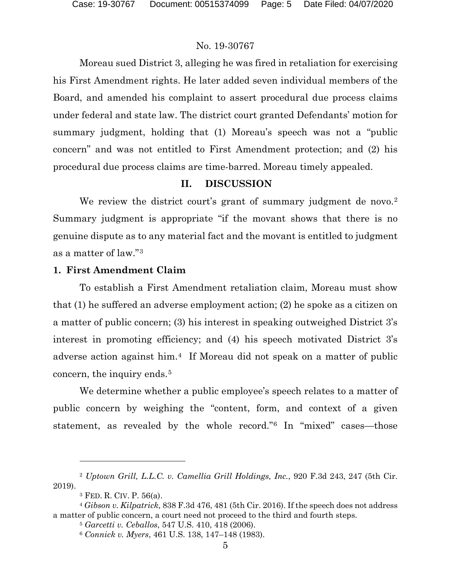Moreau sued District 3, alleging he was fired in retaliation for exercising his First Amendment rights. He later added seven individual members of the Board, and amended his complaint to assert procedural due process claims under federal and state law. The district court granted Defendants' motion for summary judgment, holding that (1) Moreau's speech was not a "public concern" and was not entitled to First Amendment protection; and (2) his procedural due process claims are time-barred. Moreau timely appealed.

## **II. DISCUSSION**

We review the district court's grant of summary judgment de novo.<sup>[2](#page-4-0)</sup> Summary judgment is appropriate "if the movant shows that there is no genuine dispute as to any material fact and the movant is entitled to judgment as a matter of law."[3](#page-4-1)

#### **1. First Amendment Claim**

To establish a First Amendment retaliation claim, Moreau must show that (1) he suffered an adverse employment action; (2) he spoke as a citizen on a matter of public concern; (3) his interest in speaking outweighed District 3's interest in promoting efficiency; and (4) his speech motivated District 3's adverse action against him.[4](#page-4-2) If Moreau did not speak on a matter of public concern, the inquiry ends.[5](#page-4-3)

We determine whether a public employee's speech relates to a matter of public concern by weighing the "content, form, and context of a given statement, as revealed by the whole record."[6](#page-4-4) In "mixed" cases—those

<span id="page-4-0"></span><sup>2</sup> *Uptown Grill, L.L.C. v. Camellia Grill Holdings, Inc.*, 920 F.3d 243, 247 (5th Cir. 2019).

<sup>3</sup> FED. R. CIV. P. 56(a).

<span id="page-4-4"></span><span id="page-4-3"></span><span id="page-4-2"></span><span id="page-4-1"></span><sup>4</sup> *Gibson v. Kilpatrick*, 838 F.3d 476, 481 (5th Cir. 2016). If the speech does not address a matter of public concern, a court need not proceed to the third and fourth steps.

<sup>5</sup> *Garcetti v. Ceballos*, 547 U.S. 410, 418 (2006).

<sup>6</sup> *Connick v. Myers*, 461 U.S. 138, 147–148 (1983).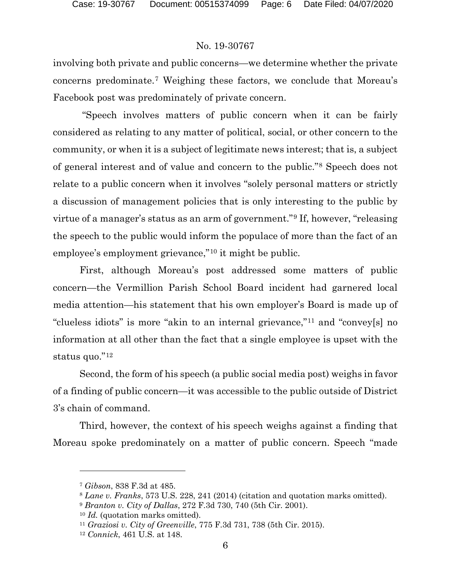involving both private and public concerns—we determine whether the private concerns predominate.[7](#page-5-0) Weighing these factors, we conclude that Moreau's Facebook post was predominately of private concern.

"Speech involves matters of public concern when it can be fairly considered as relating to any matter of political, social, or other concern to the community, or when it is a subject of legitimate news interest; that is, a subject of general interest and of value and concern to the public."[8](#page-5-1) Speech does not relate to a public concern when it involves "solely personal matters or strictly a discussion of management policies that is only interesting to the public by virtue of a manager's status as an arm of government."[9](#page-5-2) If, however, "releasing the speech to the public would inform the populace of more than the fact of an employee's employment grievance,"[10](#page-5-3) it might be public.

First, although Moreau's post addressed some matters of public concern—the Vermillion Parish School Board incident had garnered local media attention—his statement that his own employer's Board is made up of "clueless idiots" is more "akin to an internal grievance,"[11](#page-5-4) and "convey[s] no information at all other than the fact that a single employee is upset with the status quo."<sup>[12](#page-5-5)</sup>

Second, the form of his speech (a public social media post) weighs in favor of a finding of public concern—it was accessible to the public outside of District 3's chain of command.

Third, however, the context of his speech weighs against a finding that Moreau spoke predominately on a matter of public concern. Speech "made

<span id="page-5-0"></span><sup>7</sup> *Gibson*, 838 F.3d at 485.

<span id="page-5-1"></span><sup>8</sup> *Lane v. Franks*, 573 U.S. 228, 241 (2014) (citation and quotation marks omitted).

<span id="page-5-3"></span><span id="page-5-2"></span><sup>9</sup> *Branton v. City of Dallas*, 272 F.3d 730, 740 (5th Cir. 2001).

<sup>10</sup> *Id.* (quotation marks omitted).

<span id="page-5-4"></span><sup>11</sup> *Graziosi v. City of Greenville*, 775 F.3d 731, 738 (5th Cir. 2015).

<span id="page-5-5"></span><sup>12</sup> *Connick*, 461 U.S. at 148.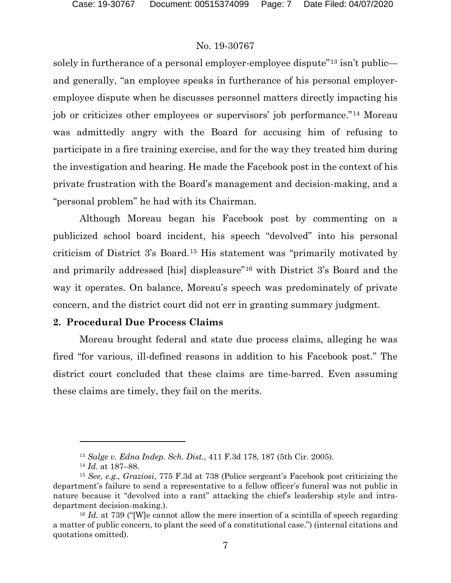solely in furtherance of a personal employer-employee dispute<sup>"[13](#page-6-0)</sup> isn't public and generally, "an employee speaks in furtherance of his personal employeremployee dispute when he discusses personnel matters directly impacting his job or criticizes other employees or supervisors' job performance."[14](#page-6-1) Moreau was admittedly angry with the Board for accusing him of refusing to participate in a fire training exercise, and for the way they treated him during the investigation and hearing. He made the Facebook post in the context of his private frustration with the Board's management and decision-making, and a "personal problem" he had with its Chairman.

Although Moreau began his Facebook post by commenting on a publicized school board incident, his speech "devolved" into his personal criticism of District 3's Board.[15](#page-6-2) His statement was "primarily motivated by and primarily addressed [his] displeasure"[16](#page-6-3) with District 3's Board and the way it operates. On balance, Moreau's speech was predominately of private concern, and the district court did not err in granting summary judgment.

#### **2. Procedural Due Process Claims**

Moreau brought federal and state due process claims, alleging he was fired "for various, ill-defined reasons in addition to his Facebook post." The district court concluded that these claims are time-barred. Even assuming these claims are timely, they fail on the merits.

<sup>13</sup> *Salge v. Edna Indep. Sch. Dist.*, 411 F.3d 178, 187 (5th Cir. 2005).

<sup>14</sup> *Id.* at 187–88.

<span id="page-6-2"></span><span id="page-6-1"></span><span id="page-6-0"></span><sup>15</sup> *See, e.g., Graziosi*, 775 F.3d at 738 (Police sergeant's Facebook post criticizing the department's failure to send a representative to a fellow officer's funeral was not public in nature because it "devolved into a rant" attacking the chief's leadership style and intradepartment decision-making.).

<span id="page-6-3"></span><sup>&</sup>lt;sup>16</sup> *Id.* at 739 ("We cannot allow the mere insertion of a scintilla of speech regarding a matter of public concern, to plant the seed of a constitutional case.") (internal citations and quotations omitted).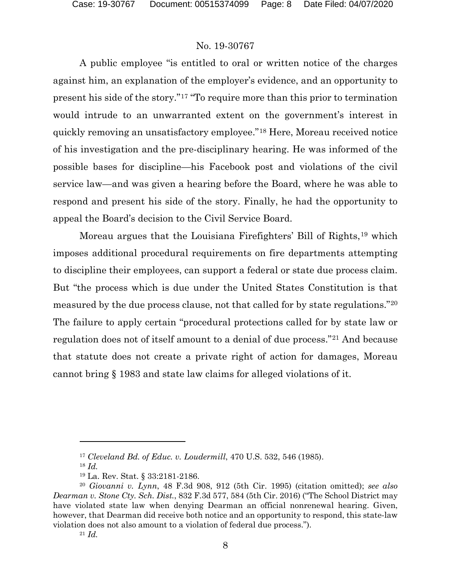A public employee "is entitled to oral or written notice of the charges against him, an explanation of the employer's evidence, and an opportunity to present his side of the story."[17](#page-7-0) "To require more than this prior to termination would intrude to an unwarranted extent on the government's interest in quickly removing an unsatisfactory employee."[18](#page-7-1) Here, Moreau received notice of his investigation and the pre-disciplinary hearing. He was informed of the possible bases for discipline—his Facebook post and violations of the civil service law—and was given a hearing before the Board, where he was able to respond and present his side of the story. Finally, he had the opportunity to appeal the Board's decision to the Civil Service Board.

Moreau argues that the Louisiana Firefighters' Bill of Rights,[19](#page-7-2) which imposes additional procedural requirements on fire departments attempting to discipline their employees, can support a federal or state due process claim. But "the process which is due under the United States Constitution is that measured by the due process clause, not that called for by state regulations.["20](#page-7-3) The failure to apply certain "procedural protections called for by state law or regulation does not of itself amount to a denial of due process."[21](#page-7-4) And because that statute does not create a private right of action for damages, Moreau cannot bring § 1983 and state law claims for alleged violations of it.

<sup>21</sup> *Id.*

<sup>17</sup> *Cleveland Bd. of Educ. v. Loudermill*, 470 U.S. 532, 546 (1985).

<sup>18</sup> *Id.*

<sup>19</sup> La. Rev. Stat. § 33:2181-2186.

<span id="page-7-4"></span><span id="page-7-3"></span><span id="page-7-2"></span><span id="page-7-1"></span><span id="page-7-0"></span><sup>20</sup> *Giovanni v. Lynn*, 48 F.3d 908, 912 (5th Cir. 1995) (citation omitted); *see also Dearman v. Stone Cty. Sch. Dist.*, 832 F.3d 577, 584 (5th Cir. 2016) ("The School District may have violated state law when denying Dearman an official nonrenewal hearing. Given, however, that Dearman did receive both notice and an opportunity to respond, this state-law violation does not also amount to a violation of federal due process.").